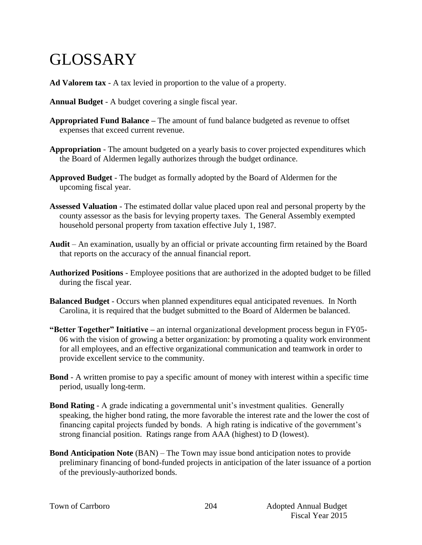## GLOSSARY

- **Ad Valorem tax** A tax levied in proportion to the value of a property.
- **Annual Budget** A budget covering a single fiscal year.
- **Appropriated Fund Balance –** The amount of fund balance budgeted as revenue to offset expenses that exceed current revenue.
- **Appropriation** The amount budgeted on a yearly basis to cover projected expenditures which the Board of Aldermen legally authorizes through the budget ordinance.
- **Approved Budget** The budget as formally adopted by the Board of Aldermen for the upcoming fiscal year.
- **Assessed Valuation** The estimated dollar value placed upon real and personal property by the county assessor as the basis for levying property taxes. The General Assembly exempted household personal property from taxation effective July 1, 1987.
- **Audit** An examination, usually by an official or private accounting firm retained by the Board that reports on the accuracy of the annual financial report.
- **Authorized Positions**  Employee positions that are authorized in the adopted budget to be filled during the fiscal year.
- **Balanced Budget** Occurs when planned expenditures equal anticipated revenues. In North Carolina, it is required that the budget submitted to the Board of Aldermen be balanced.
- **"Better Together" Initiative –** an internal organizational development process begun in FY05- 06 with the vision of growing a better organization: by promoting a quality work environment for all employees, and an effective organizational communication and teamwork in order to provide excellent service to the community.
- **Bond** A written promise to pay a specific amount of money with interest within a specific time period, usually long-term.
- **Bond Rating** A grade indicating a governmental unit's investment qualities. Generally speaking, the higher bond rating, the more favorable the interest rate and the lower the cost of financing capital projects funded by bonds. A high rating is indicative of the government's strong financial position. Ratings range from AAA (highest) to D (lowest).
- **Bond Anticipation Note** (BAN) The Town may issue bond anticipation notes to provide preliminary financing of bond-funded projects in anticipation of the later issuance of a portion of the previously-authorized bonds.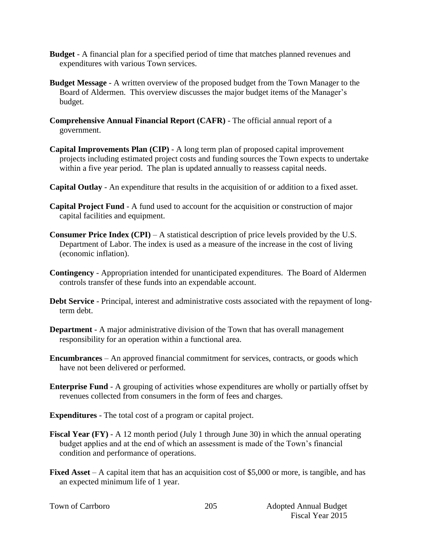- **Budget**  A financial plan for a specified period of time that matches planned revenues and expenditures with various Town services.
- **Budget Message** A written overview of the proposed budget from the Town Manager to the Board of Aldermen. This overview discusses the major budget items of the Manager's budget.
- **Comprehensive Annual Financial Report (CAFR)** The official annual report of a government.
- **Capital Improvements Plan (CIP)** A long term plan of proposed capital improvement projects including estimated project costs and funding sources the Town expects to undertake within a five year period. The plan is updated annually to reassess capital needs.
- **Capital Outlay** An expenditure that results in the acquisition of or addition to a fixed asset.
- **Capital Project Fund** A fund used to account for the acquisition or construction of major capital facilities and equipment.
- **Consumer Price Index (CPI)** A statistical description of price levels provided by the U.S. Department of Labor. The index is used as a measure of the increase in the cost of living (economic inflation).
- **Contingency**  Appropriation intended for unanticipated expenditures. The Board of Aldermen controls transfer of these funds into an expendable account.
- **Debt Service** Principal, interest and administrative costs associated with the repayment of longterm debt.
- **Department**  A major administrative division of the Town that has overall management responsibility for an operation within a functional area.
- **Encumbrances**  An approved financial commitment for services, contracts, or goods which have not been delivered or performed.
- **Enterprise Fund** A grouping of activities whose expenditures are wholly or partially offset by revenues collected from consumers in the form of fees and charges.
- **Expenditures** The total cost of a program or capital project.
- **Fiscal Year (FY)** A 12 month period (July 1 through June 30) in which the annual operating budget applies and at the end of which an assessment is made of the Town's financial condition and performance of operations.
- **Fixed Asset** A capital item that has an acquisition cost of \$5,000 or more, is tangible, and has an expected minimum life of 1 year.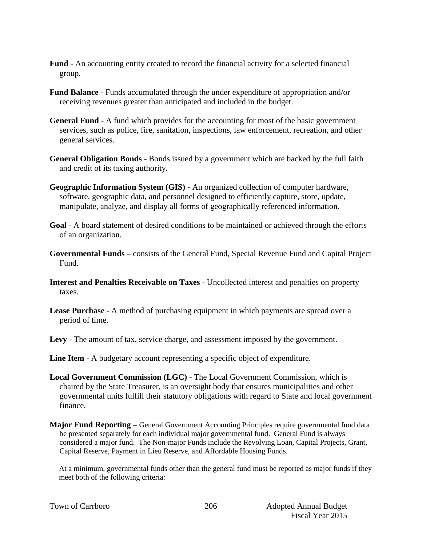- **Fund** An accounting entity created to record the financial activity for a selected financial group.
- **Fund Balance** Funds accumulated through the under expenditure of appropriation and/or receiving revenues greater than anticipated and included in the budget.
- **General Fund** A fund which provides for the accounting for most of the basic government services, such as police, fire, sanitation, inspections, law enforcement, recreation, and other general services.
- **General Obligation Bonds** Bonds issued by a government which are backed by the full faith and credit of its taxing authority.
- **Geographic Information System (GIS) -** An organized collection of computer hardware, software, geographic data, and personnel designed to efficiently capture, store, update, manipulate, analyze, and display all forms of geographically referenced information.
- **Goal** A board statement of desired conditions to be maintained or achieved through the efforts of an organization.
- **Governmental Funds –** consists of the General Fund, Special Revenue Fund and Capital Project Fund.
- **Interest and Penalties Receivable on Taxes** Uncollected interest and penalties on property taxes.
- **Lease Purchase** A method of purchasing equipment in which payments are spread over a period of time.
- **Levy**  The amount of tax, service charge, and assessment imposed by the government.
- **Line Item** A budgetary account representing a specific object of expenditure.
- **Local Government Commission (LGC)**  The Local Government Commission, which is chaired by the State Treasurer, is an oversight body that ensures municipalities and other governmental units fulfill their statutory obligations with regard to State and local government finance.
- **Major Fund Reporting –** General Government Accounting Principles require governmental fund data be presented separately for each individual major governmental fund. General Fund is always considered a major fund. The Non-major Funds include the Revolving Loan, Capital Projects, Grant, Capital Reserve, Payment in Lieu Reserve, and Affordable Housing Funds.

At a minimum, governmental funds other than the general fund must be reported as major funds if they meet both of the following criteria:

|  |  | Town of Carrboro |
|--|--|------------------|
|--|--|------------------|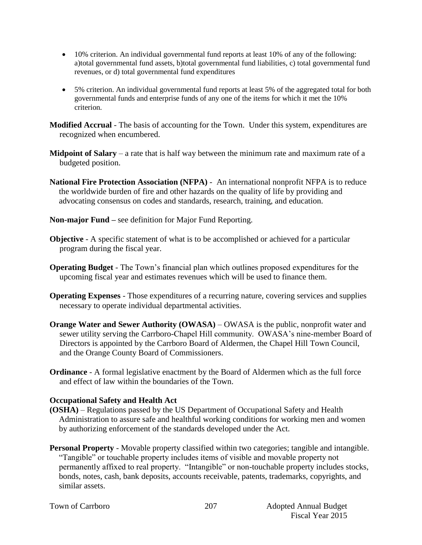- 10% criterion. An individual governmental fund reports at least 10% of any of the following: a)total governmental fund assets, b)total governmental fund liabilities, c) total governmental fund revenues, or d) total governmental fund expenditures
- 5% criterion. An individual governmental fund reports at least 5% of the aggregated total for both governmental funds and enterprise funds of any one of the items for which it met the 10% criterion.

**Modified Accrual** - The basis of accounting for the Town. Under this system, expenditures are recognized when encumbered.

- **Midpoint of Salary** a rate that is half way between the minimum rate and maximum rate of a budgeted position.
- **National Fire Protection Association (NFPA)**  An international nonprofit NFPA is to reduce the worldwide burden of fire and other hazards on the quality of life by providing and advocating consensus on codes and standards, research, training, and education.
- **Non-major Fund –** see definition for Major Fund Reporting.
- **Objective** A specific statement of what is to be accomplished or achieved for a particular program during the fiscal year.
- **Operating Budget** The Town's financial plan which outlines proposed expenditures for the upcoming fiscal year and estimates revenues which will be used to finance them.
- **Operating Expenses** Those expenditures of a recurring nature, covering services and supplies necessary to operate individual departmental activities.
- **Orange Water and Sewer Authority (OWASA)** OWASA is the public, nonprofit water and sewer utility serving the Carrboro-Chapel Hill community. OWASA's nine-member Board of Directors is appointed by the Carrboro Board of Aldermen, the Chapel Hill Town Council, and the Orange County Board of Commissioners.
- **Ordinance** A formal legislative enactment by the Board of Aldermen which as the full force and effect of law within the boundaries of the Town.

## **Occupational Safety and Health Act**

- **(OSHA)** Regulations passed by the US Department of Occupational Safety and Health Administration to assure safe and healthful working conditions for working men and women by authorizing enforcement of the standards developed under the Act.
- **Personal Property** Movable property classified within two categories; tangible and intangible. "Tangible" or touchable property includes items of visible and movable property not permanently affixed to real property. "Intangible" or non-touchable property includes stocks, bonds, notes, cash, bank deposits, accounts receivable, patents, trademarks, copyrights, and similar assets.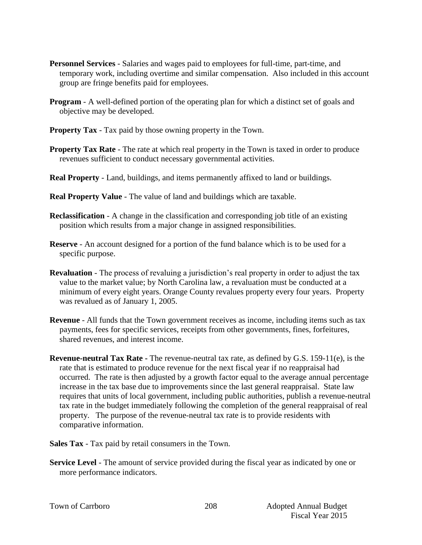- **Personnel Services** Salaries and wages paid to employees for full-time, part-time, and temporary work, including overtime and similar compensation. Also included in this account group are fringe benefits paid for employees.
- **Program** A well-defined portion of the operating plan for which a distinct set of goals and objective may be developed.
- **Property Tax** Tax paid by those owning property in the Town.
- **Property Tax Rate** The rate at which real property in the Town is taxed in order to produce revenues sufficient to conduct necessary governmental activities.
- **Real Property** Land, buildings, and items permanently affixed to land or buildings.
- **Real Property Value** The value of land and buildings which are taxable.
- **Reclassification** A change in the classification and corresponding job title of an existing position which results from a major change in assigned responsibilities.
- **Reserve** An account designed for a portion of the fund balance which is to be used for a specific purpose.
- **Revaluation**  The process of revaluing a jurisdiction's real property in order to adjust the tax value to the market value; by North Carolina law, a revaluation must be conducted at a minimum of every eight years. Orange County revalues property every four years. Property was revalued as of January 1, 2005.
- **Revenue**  All funds that the Town government receives as income, including items such as tax payments, fees for specific services, receipts from other governments, fines, forfeitures, shared revenues, and interest income.
- **Revenue-neutral Tax Rate -** The revenue-neutral tax rate, as defined by G.S. 159-11(e), is the rate that is estimated to produce revenue for the next fiscal year if no reappraisal had occurred. The rate is then adjusted by a growth factor equal to the average annual percentage increase in the tax base due to improvements since the last general reappraisal. State law requires that units of local government, including public authorities, publish a revenue-neutral tax rate in the budget immediately following the completion of the general reappraisal of real property. The purpose of the revenue-neutral tax rate is to provide residents with comparative information.
- **Sales Tax** Tax paid by retail consumers in the Town.
- **Service Level** The amount of service provided during the fiscal year as indicated by one or more performance indicators.